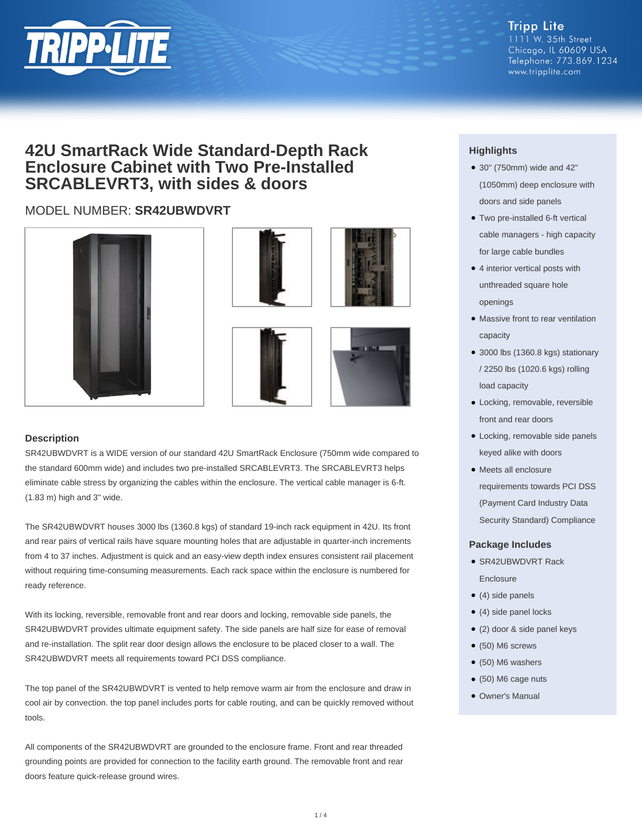

# **42U SmartRack Wide Standard-Depth Rack Enclosure Cabinet with Two Pre-Installed SRCABLEVRT3, with sides & doors**

## MODEL NUMBER: **SR42UBWDVRT**









### **Description**

SR42UBWDVRT is a WIDE version of our standard 42U SmartRack Enclosure (750mm wide compared to the standard 600mm wide) and includes two pre-installed SRCABLEVRT3. The SRCABLEVRT3 helps eliminate cable stress by organizing the cables within the enclosure. The vertical cable manager is 6-ft. (1.83 m) high and 3" wide.

The SR42UBWDVRT houses 3000 lbs (1360.8 kgs) of standard 19-inch rack equipment in 42U. Its front and rear pairs of vertical rails have square mounting holes that are adjustable in quarter-inch increments from 4 to 37 inches. Adjustment is quick and an easy-view depth index ensures consistent rail placement without requiring time-consuming measurements. Each rack space within the enclosure is numbered for ready reference.

With its locking, reversible, removable front and rear doors and locking, removable side panels, the SR42UBWDVRT provides ultimate equipment safety. The side panels are half size for ease of removal and re-installation. The split rear door design allows the enclosure to be placed closer to a wall. The SR42UBWDVRT meets all requirements toward PCI DSS compliance.

The top panel of the SR42UBWDVRT is vented to help remove warm air from the enclosure and draw in cool air by convection. the top panel includes ports for cable routing, and can be quickly removed without tools.

All components of the SR42UBWDVRT are grounded to the enclosure frame. Front and rear threaded grounding points are provided for connection to the facility earth ground. The removable front and rear doors feature quick-release ground wires.

### **Highlights**

- 30" (750mm) wide and 42" (1050mm) deep enclosure with doors and side panels
- Two pre-installed 6-ft vertical cable managers - high capacity for large cable bundles
- 4 interior vertical posts with unthreaded square hole openings
- Massive front to rear ventilation capacity
- 3000 lbs (1360.8 kgs) stationary / 2250 lbs (1020.6 kgs) rolling load capacity
- Locking, removable, reversible front and rear doors
- Locking, removable side panels keyed alike with doors
- Meets all enclosure requirements towards PCI DSS (Payment Card Industry Data

Security Standard) Compliance

#### **Package Includes**

- SR42UBWDVRT Rack Enclosure
- $\bullet$  (4) side panels
- (4) side panel locks
- (2) door & side panel keys
- $\bullet$  (50) M6 screws
- (50) M6 washers
- (50) M6 cage nuts
- Owner's Manual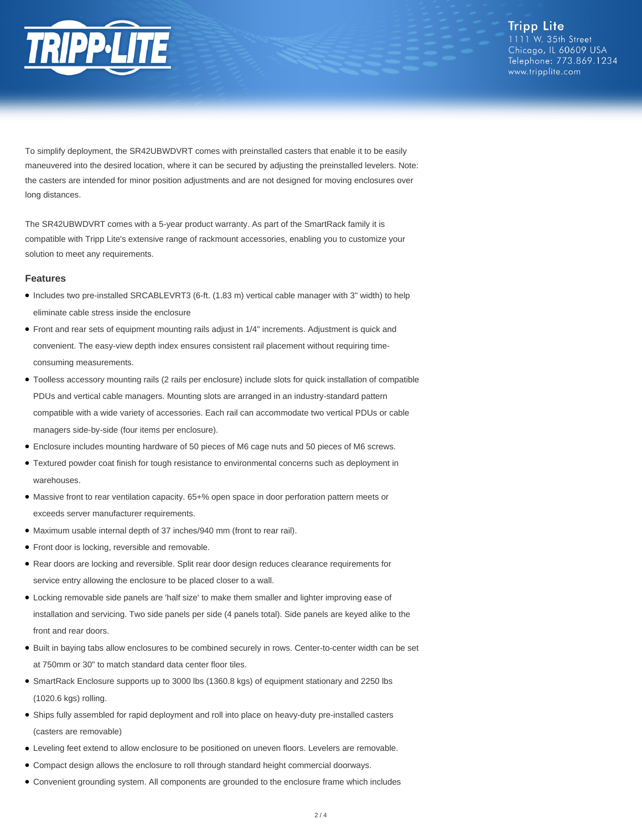

**Tripp Lite** 1111 W. 35th Street Chicago, IL 60609 USA Telephone: 773.869.1234 www.tripplite.com

To simplify deployment, the SR42UBWDVRT comes with preinstalled casters that enable it to be easily maneuvered into the desired location, where it can be secured by adjusting the preinstalled levelers. Note: the casters are intended for minor position adjustments and are not designed for moving enclosures over long distances.

The SR42UBWDVRT comes with a 5-year product warranty. As part of the SmartRack family it is compatible with Tripp Lite's extensive range of rackmount accessories, enabling you to customize your solution to meet any requirements.

#### **Features**

- Includes two pre-installed SRCABLEVRT3 (6-ft. (1.83 m) vertical cable manager with 3" width) to help eliminate cable stress inside the enclosure
- Front and rear sets of equipment mounting rails adjust in 1/4" increments. Adjustment is quick and convenient. The easy-view depth index ensures consistent rail placement without requiring timeconsuming measurements.
- Toolless accessory mounting rails (2 rails per enclosure) include slots for quick installation of compatible PDUs and vertical cable managers. Mounting slots are arranged in an industry-standard pattern compatible with a wide variety of accessories. Each rail can accommodate two vertical PDUs or cable managers side-by-side (four items per enclosure).
- Enclosure includes mounting hardware of 50 pieces of M6 cage nuts and 50 pieces of M6 screws.
- Textured powder coat finish for tough resistance to environmental concerns such as deployment in warehouses.
- Massive front to rear ventilation capacity. 65+% open space in door perforation pattern meets or exceeds server manufacturer requirements.
- Maximum usable internal depth of 37 inches/940 mm (front to rear rail).
- Front door is locking, reversible and removable.
- Rear doors are locking and reversible. Split rear door design reduces clearance requirements for service entry allowing the enclosure to be placed closer to a wall.
- Locking removable side panels are 'half size' to make them smaller and lighter improving ease of installation and servicing. Two side panels per side (4 panels total). Side panels are keyed alike to the front and rear doors.
- Built in baying tabs allow enclosures to be combined securely in rows. Center-to-center width can be set at 750mm or 30" to match standard data center floor tiles.
- SmartRack Enclosure supports up to 3000 lbs (1360.8 kgs) of equipment stationary and 2250 lbs (1020.6 kgs) rolling.
- Ships fully assembled for rapid deployment and roll into place on heavy-duty pre-installed casters (casters are removable)
- Leveling feet extend to allow enclosure to be positioned on uneven floors. Levelers are removable.
- Compact design allows the enclosure to roll through standard height commercial doorways.
- Convenient grounding system. All components are grounded to the enclosure frame which includes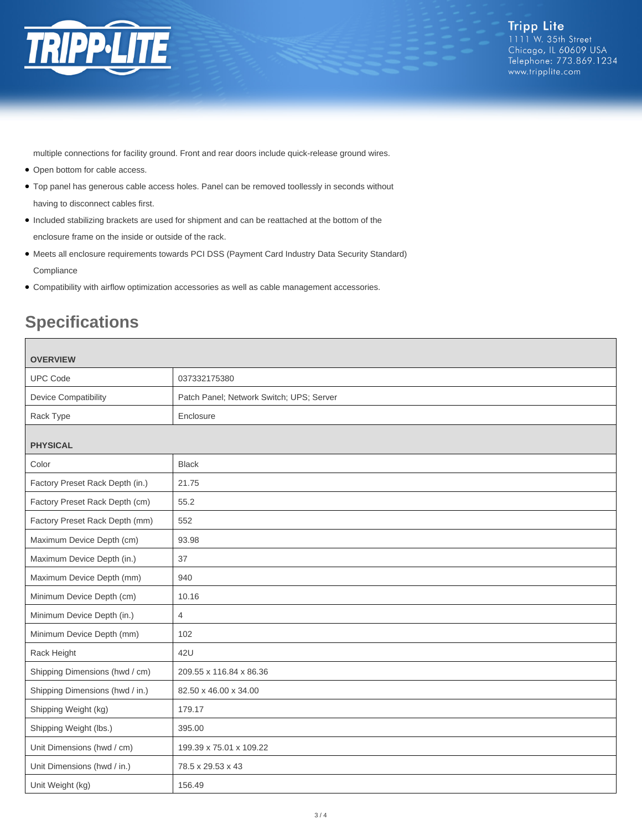

multiple connections for facility ground. Front and rear doors include quick-release ground wires.

- Open bottom for cable access.
- Top panel has generous cable access holes. Panel can be removed toollessly in seconds without having to disconnect cables first.
- Included stabilizing brackets are used for shipment and can be reattached at the bottom of the enclosure frame on the inside or outside of the rack.
- Meets all enclosure requirements towards PCI DSS (Payment Card Industry Data Security Standard) **Compliance**
- Compatibility with airflow optimization accessories as well as cable management accessories.

# **Specifications**

| <b>OVERVIEW</b>                 |                                          |
|---------------------------------|------------------------------------------|
| <b>UPC Code</b>                 | 037332175380                             |
| <b>Device Compatibility</b>     | Patch Panel; Network Switch; UPS; Server |
| Rack Type                       | Enclosure                                |
|                                 |                                          |
| <b>PHYSICAL</b>                 |                                          |
| Color                           | <b>Black</b>                             |
| Factory Preset Rack Depth (in.) | 21.75                                    |
| Factory Preset Rack Depth (cm)  | 55.2                                     |
| Factory Preset Rack Depth (mm)  | 552                                      |
| Maximum Device Depth (cm)       | 93.98                                    |
| Maximum Device Depth (in.)      | 37                                       |
| Maximum Device Depth (mm)       | 940                                      |
| Minimum Device Depth (cm)       | 10.16                                    |
| Minimum Device Depth (in.)      | $\overline{4}$                           |
| Minimum Device Depth (mm)       | 102                                      |
| Rack Height                     | 42U                                      |
| Shipping Dimensions (hwd / cm)  | 209.55 x 116.84 x 86.36                  |
| Shipping Dimensions (hwd / in.) | 82.50 x 46.00 x 34.00                    |
| Shipping Weight (kg)            | 179.17                                   |
| Shipping Weight (lbs.)          | 395.00                                   |
| Unit Dimensions (hwd / cm)      | 199.39 x 75.01 x 109.22                  |
| Unit Dimensions (hwd / in.)     | 78.5 x 29.53 x 43                        |
| Unit Weight (kg)                | 156.49                                   |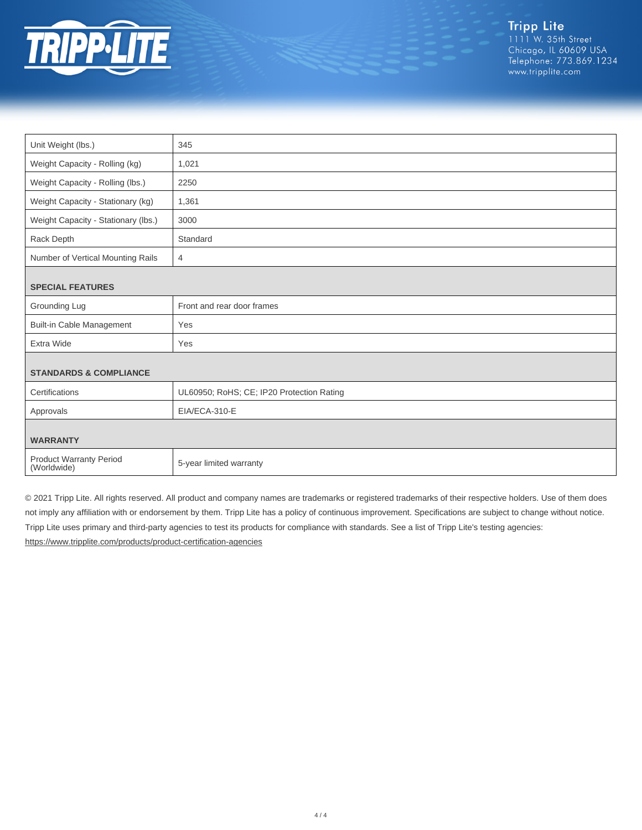

| Unit Weight (lbs.)                            | 345                                       |  |
|-----------------------------------------------|-------------------------------------------|--|
| Weight Capacity - Rolling (kg)                | 1,021                                     |  |
| Weight Capacity - Rolling (lbs.)              | 2250                                      |  |
| Weight Capacity - Stationary (kg)             | 1,361                                     |  |
| Weight Capacity - Stationary (lbs.)           | 3000                                      |  |
| Rack Depth                                    | Standard                                  |  |
| Number of Vertical Mounting Rails             | 4                                         |  |
| <b>SPECIAL FEATURES</b>                       |                                           |  |
| Grounding Lug                                 | Front and rear door frames                |  |
| <b>Built-in Cable Management</b>              | Yes                                       |  |
| <b>Extra Wide</b>                             | Yes                                       |  |
| <b>STANDARDS &amp; COMPLIANCE</b>             |                                           |  |
|                                               |                                           |  |
| Certifications                                | UL60950; RoHS; CE; IP20 Protection Rating |  |
| Approvals                                     | EIA/ECA-310-E                             |  |
| <b>WARRANTY</b>                               |                                           |  |
| <b>Product Warranty Period</b><br>(Worldwide) | 5-year limited warranty                   |  |

© 2021 Tripp Lite. All rights reserved. All product and company names are trademarks or registered trademarks of their respective holders. Use of them does not imply any affiliation with or endorsement by them. Tripp Lite has a policy of continuous improvement. Specifications are subject to change without notice. Tripp Lite uses primary and third-party agencies to test its products for compliance with standards. See a list of Tripp Lite's testing agencies: <https://www.tripplite.com/products/product-certification-agencies>